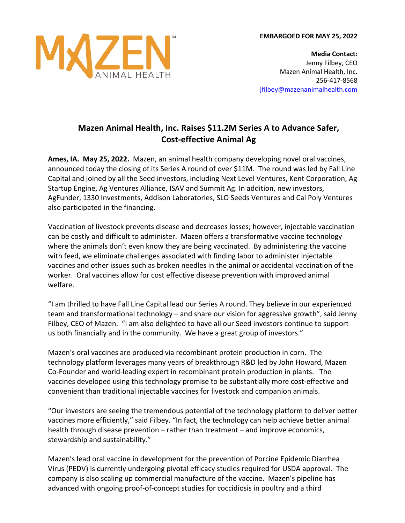



**Media Contact:** Jenny Filbey, CEO Mazen Animal Health, Inc. 256-417-8568 jfilbey@mazenanimalhealth.com

## **Mazen Animal Health, Inc. Raises \$11.2M Series A to Advance Safer, Cost-effective Animal Ag**

**Ames, IA. May 25, 2022.** Mazen, an animal health company developing novel oral vaccines, announced today the closing of its Series A round of over \$11M. The round was led by Fall Line Capital and joined by all the Seed investors, including Next Level Ventures, Kent Corporation, Ag Startup Engine, Ag Ventures Alliance, ISAV and Summit Ag. In addition, new investors, AgFunder, 1330 Investments, Addison Laboratories, SLO Seeds Ventures and Cal Poly Ventures also participated in the financing.

Vaccination of livestock prevents disease and decreases losses; however, injectable vaccination can be costly and difficult to administer. Mazen offers a transformative vaccine technology where the animals don't even know they are being vaccinated. By administering the vaccine with feed, we eliminate challenges associated with finding labor to administer injectable vaccines and other issues such as broken needles in the animal or accidental vaccination of the worker. Oral vaccines allow for cost effective disease prevention with improved animal welfare.

"I am thrilled to have Fall Line Capital lead our Series A round. They believe in our experienced team and transformational technology – and share our vision for aggressive growth", said Jenny Filbey, CEO of Mazen. "I am also delighted to have all our Seed investors continue to support us both financially and in the community. We have a great group of investors."

Mazen's oral vaccines are produced via recombinant protein production in corn. The technology platform leverages many years of breakthrough R&D led by John Howard, Mazen Co-Founder and world-leading expert in recombinant protein production in plants. The vaccines developed using this technology promise to be substantially more cost-effective and convenient than traditional injectable vaccines for livestock and companion animals.

"Our investors are seeing the tremendous potential of the technology platform to deliver better vaccines more efficiently," said Filbey. "In fact, the technology can help achieve better animal health through disease prevention – rather than treatment – and improve economics, stewardship and sustainability."

Mazen's lead oral vaccine in development for the prevention of Porcine Epidemic Diarrhea Virus (PEDV) is currently undergoing pivotal efficacy studies required for USDA approval. The company is also scaling up commercial manufacture of the vaccine. Mazen's pipeline has advanced with ongoing proof-of-concept studies for coccidiosis in poultry and a third